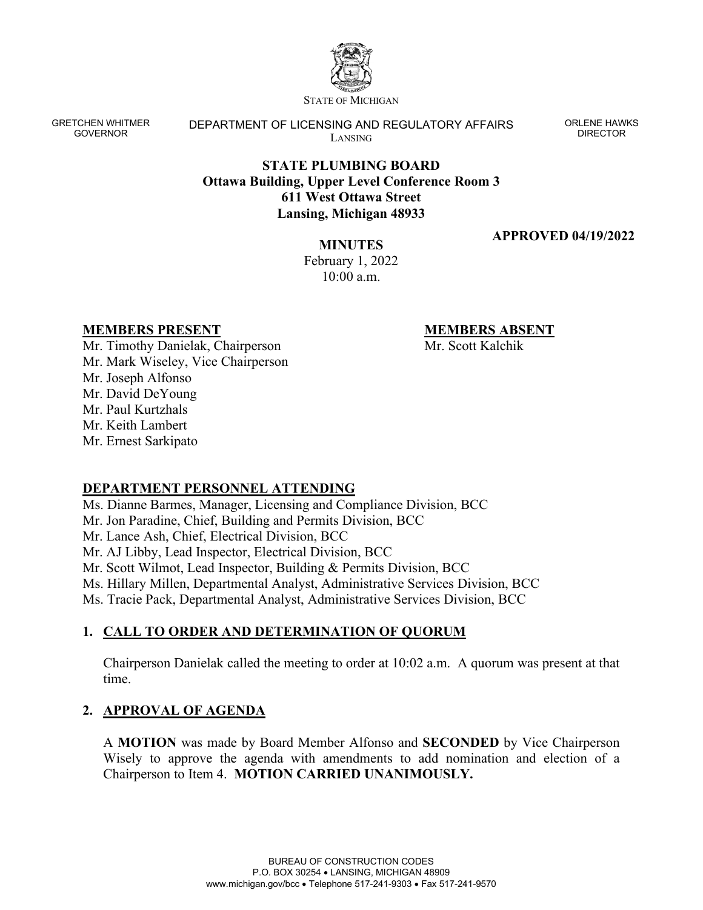

STATE OF MICHIGAN

GRETCHEN WHITMER GOVERNOR

DEPARTMENT OF LICENSING AND REGULATORY AFFAIRS LANSING

ORLENE HAWKS DIRECTOR

# **STATE PLUMBING BOARD Ottawa Building, Upper Level Conference Room 3 611 West Ottawa Street Lansing, Michigan 48933**

### **APPROVED 04/19/2022**

**MINUTES**  February 1, 2022  $10:00$  a.m.

### **MEMBERS PRESENT**

**MEMBERS ABSENT**

Mr. Scott Kalchik

Mr. Timothy Danielak, Chairperson Mr. Mark Wiseley, Vice Chairperson Mr. Joseph Alfonso Mr. David DeYoung Mr. Paul Kurtzhals Mr. Keith Lambert Mr. Ernest Sarkipato

# **DEPARTMENT PERSONNEL ATTENDING**

Ms. Dianne Barmes, Manager, Licensing and Compliance Division, BCC Mr. Jon Paradine, Chief, Building and Permits Division, BCC Mr. Lance Ash, Chief, Electrical Division, BCC Mr. AJ Libby, Lead Inspector, Electrical Division, BCC Mr. Scott Wilmot, Lead Inspector, Building & Permits Division, BCC Ms. Hillary Millen, Departmental Analyst, Administrative Services Division, BCC Ms. Tracie Pack, Departmental Analyst, Administrative Services Division, BCC

# **1. CALL TO ORDER AND DETERMINATION OF QUORUM**

Chairperson Danielak called the meeting to order at 10:02 a.m. A quorum was present at that time.

# **2. APPROVAL OF AGENDA**

A **MOTION** was made by Board Member Alfonso and **SECONDED** by Vice Chairperson Wisely to approve the agenda with amendments to add nomination and election of a Chairperson to Item 4. **MOTION CARRIED UNANIMOUSLY.**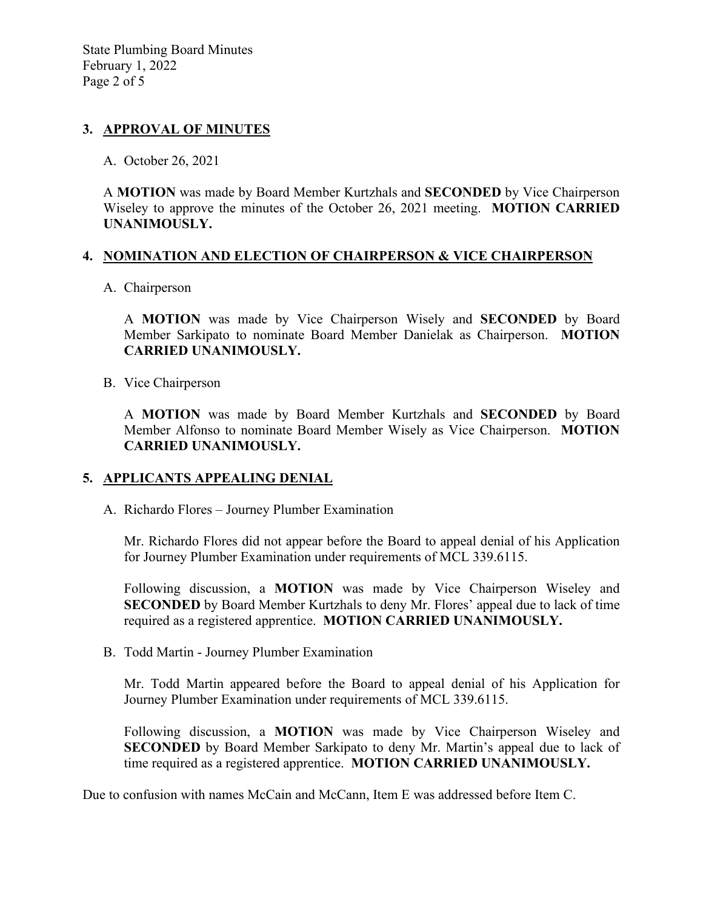## **3. APPROVAL OF MINUTES**

#### A. October 26, 2021

A **MOTION** was made by Board Member Kurtzhals and **SECONDED** by Vice Chairperson Wiseley to approve the minutes of the October 26, 2021 meeting. **MOTION CARRIED UNANIMOUSLY.**

## **4. NOMINATION AND ELECTION OF CHAIRPERSON & VICE CHAIRPERSON**

## A. Chairperson

A **MOTION** was made by Vice Chairperson Wisely and **SECONDED** by Board Member Sarkipato to nominate Board Member Danielak as Chairperson. **MOTION CARRIED UNANIMOUSLY.**

B. Vice Chairperson

A **MOTION** was made by Board Member Kurtzhals and **SECONDED** by Board Member Alfonso to nominate Board Member Wisely as Vice Chairperson. **MOTION CARRIED UNANIMOUSLY.**

### **5. APPLICANTS APPEALING DENIAL**

A. Richardo Flores – Journey Plumber Examination

Mr. Richardo Flores did not appear before the Board to appeal denial of his Application for Journey Plumber Examination under requirements of MCL 339.6115.

Following discussion, a **MOTION** was made by Vice Chairperson Wiseley and **SECONDED** by Board Member Kurtzhals to deny Mr. Flores' appeal due to lack of time required as a registered apprentice. **MOTION CARRIED UNANIMOUSLY.**

B. Todd Martin - Journey Plumber Examination

Mr. Todd Martin appeared before the Board to appeal denial of his Application for Journey Plumber Examination under requirements of MCL 339.6115.

Following discussion, a **MOTION** was made by Vice Chairperson Wiseley and **SECONDED** by Board Member Sarkipato to deny Mr. Martin's appeal due to lack of time required as a registered apprentice. **MOTION CARRIED UNANIMOUSLY.**

Due to confusion with names McCain and McCann, Item E was addressed before Item C.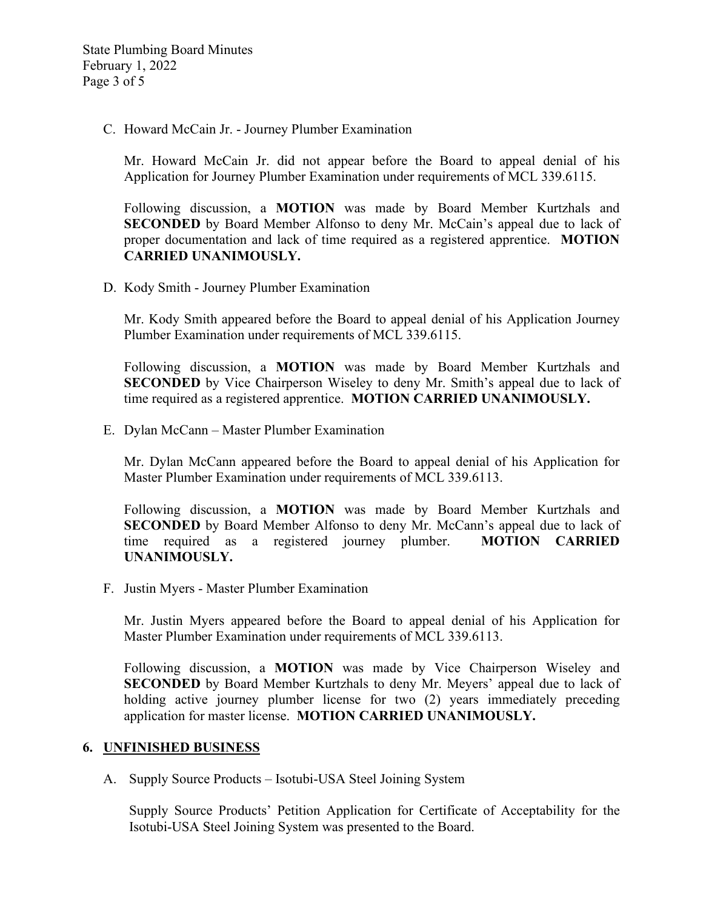C. Howard McCain Jr. - Journey Plumber Examination

Mr. Howard McCain Jr. did not appear before the Board to appeal denial of his Application for Journey Plumber Examination under requirements of MCL 339.6115.

Following discussion, a **MOTION** was made by Board Member Kurtzhals and **SECONDED** by Board Member Alfonso to deny Mr. McCain's appeal due to lack of proper documentation and lack of time required as a registered apprentice. **MOTION CARRIED UNANIMOUSLY.**

D. Kody Smith - Journey Plumber Examination

Mr. Kody Smith appeared before the Board to appeal denial of his Application Journey Plumber Examination under requirements of MCL 339.6115.

Following discussion, a **MOTION** was made by Board Member Kurtzhals and **SECONDED** by Vice Chairperson Wiseley to deny Mr. Smith's appeal due to lack of time required as a registered apprentice. **MOTION CARRIED UNANIMOUSLY.**

E. Dylan McCann – Master Plumber Examination

Mr. Dylan McCann appeared before the Board to appeal denial of his Application for Master Plumber Examination under requirements of MCL 339.6113.

Following discussion, a **MOTION** was made by Board Member Kurtzhals and **SECONDED** by Board Member Alfonso to deny Mr. McCann's appeal due to lack of time required as a registered journey plumber. **MOTION CARRIED UNANIMOUSLY.**

F. Justin Myers - Master Plumber Examination

Mr. Justin Myers appeared before the Board to appeal denial of his Application for Master Plumber Examination under requirements of MCL 339.6113.

Following discussion, a **MOTION** was made by Vice Chairperson Wiseley and **SECONDED** by Board Member Kurtzhals to deny Mr. Meyers' appeal due to lack of holding active journey plumber license for two (2) years immediately preceding application for master license. **MOTION CARRIED UNANIMOUSLY.**

### **6. UNFINISHED BUSINESS**

A. Supply Source Products – Isotubi-USA Steel Joining System

Supply Source Products' Petition Application for Certificate of Acceptability for the Isotubi-USA Steel Joining System was presented to the Board.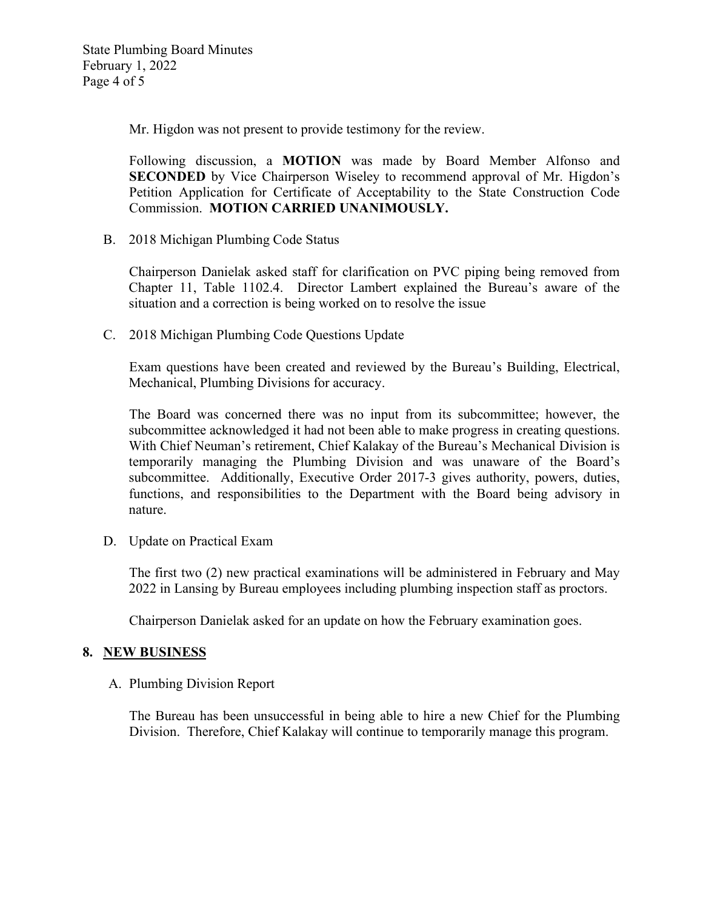Mr. Higdon was not present to provide testimony for the review.

Following discussion, a **MOTION** was made by Board Member Alfonso and **SECONDED** by Vice Chairperson Wiseley to recommend approval of Mr. Higdon's Petition Application for Certificate of Acceptability to the State Construction Code Commission. **MOTION CARRIED UNANIMOUSLY.**

B. 2018 Michigan Plumbing Code Status

Chairperson Danielak asked staff for clarification on PVC piping being removed from Chapter 11, Table 1102.4. Director Lambert explained the Bureau's aware of the situation and a correction is being worked on to resolve the issue

C. 2018 Michigan Plumbing Code Questions Update

Exam questions have been created and reviewed by the Bureau's Building, Electrical, Mechanical, Plumbing Divisions for accuracy.

The Board was concerned there was no input from its subcommittee; however, the subcommittee acknowledged it had not been able to make progress in creating questions. With Chief Neuman's retirement, Chief Kalakay of the Bureau's Mechanical Division is temporarily managing the Plumbing Division and was unaware of the Board's subcommittee. Additionally, Executive Order 2017-3 gives authority, powers, duties, functions, and responsibilities to the Department with the Board being advisory in nature.

D. Update on Practical Exam

The first two (2) new practical examinations will be administered in February and May 2022 in Lansing by Bureau employees including plumbing inspection staff as proctors.

Chairperson Danielak asked for an update on how the February examination goes.

# **8. NEW BUSINESS**

A. Plumbing Division Report

The Bureau has been unsuccessful in being able to hire a new Chief for the Plumbing Division. Therefore, Chief Kalakay will continue to temporarily manage this program.